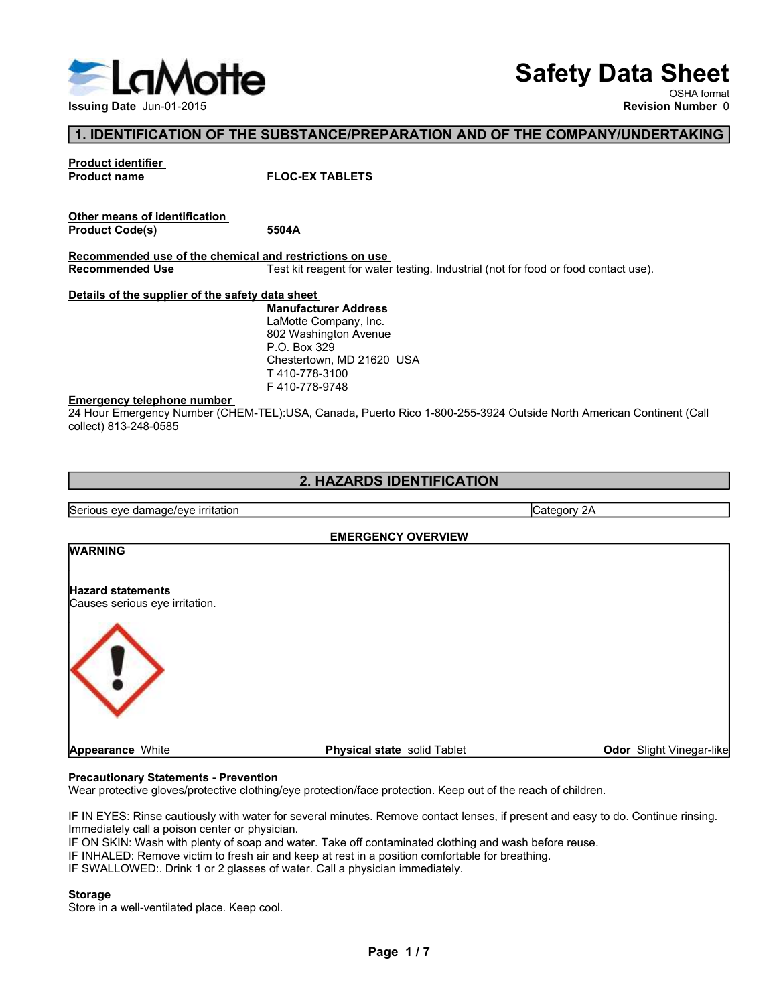

# Safety Data Sheet

# 1. IDENTIFICATION OF THE SUBSTANCE/PREPARATION AND OF THE COMPANY/UNDERTAKING

| LaM<br><b>lotte</b>                                     | <b>Safety Data Sheet</b>                                                                                           |
|---------------------------------------------------------|--------------------------------------------------------------------------------------------------------------------|
| Issuing Date Jun-01-2015                                | OSHA format<br><b>Revision Number 0</b>                                                                            |
|                                                         |                                                                                                                    |
|                                                         | 1. IDENTIFICATION OF THE SUBSTANCE/PREPARATION AND OF THE COMPANY/UNDERTAKING                                      |
| Product identifier                                      |                                                                                                                    |
| <b>Product name</b>                                     | <b>FLOC-EX TABLETS</b>                                                                                             |
| Other means of identification                           |                                                                                                                    |
| <b>Product Code(s)</b>                                  | 5504A                                                                                                              |
| Recommended use of the chemical and restrictions on use |                                                                                                                    |
| <b>Recommended Use</b>                                  | Test kit reagent for water testing. Industrial (not for food or food contact use).                                 |
| Details of the supplier of the safety data sheet        |                                                                                                                    |
|                                                         | <b>Manufacturer Address</b>                                                                                        |
|                                                         | LaMotte Company, Inc.                                                                                              |
|                                                         | 802 Washington Avenue                                                                                              |
|                                                         | P.O. Box 329<br>Chestertown, MD 21620 USA                                                                          |
|                                                         | T410-778-3100                                                                                                      |
|                                                         | F410-778-9748                                                                                                      |
| <u>Emergency telephone number</u>                       |                                                                                                                    |
| collect) 813-248-0585                                   | 24 Hour Emergency Number (CHEM-TEL):USA, Canada, Puerto Rico 1-800-255-3924 Outside North American Continent (Call |
|                                                         |                                                                                                                    |
|                                                         | 2. HAZARDS IDENTIFICATION                                                                                          |
|                                                         |                                                                                                                    |
|                                                         | $\overline{\phantom{a}}$                                                                                           |

24 HOURT CHEM-TEL):USA Canada, Puerto Rico 1-800-255-3924 Outside North American Continent (Call<br>24 Hourse of Manufacture of Manufacture<br>24 Hourse Continue of Continue of Continue of Continue of Continue and Continue of Co

# 2. HAZARDS IDENTIFICATION

From the of the chemical and restrictions on use<br>
Recommended use of the chemical and restrictions on use<br>
Recommended use of the chemical and restrictions on use<br>
Recommended Use<br>
The state damage of the safety damaged fr EMERGENCY OVERVIEW 2. HAZARDS IDENTIFICATION<br>
Serious eye damage/eye irritation<br>
WARNING EMERGENCY OVERVIEW<br>
Hazard statements<br>
Category 2A<br>
Precautionents - Prevention<br>
Prevention<br>
Precautionary Statements - Prevention<br>
Preventionary Statem **EXERCISE SERVIEW CONDUCTS AND SURVEY (STAND)**<br>
EMERGENCY OVERVIEW Category 2A<br>
VIARNING<br>
Category 2A<br>
Appearance While<br>
Procedure gloves/protective clothing/eye protection/face protection. Keep out of the reach of childre Serious eye damage/eye irritation<br>
WARNING EMERGENCY OVERVIEW<br>
Hazard statements<br>
Hazard statements<br>
Appearance White Precention<br>
Precentionary Statements - Prevention<br>
Wear protective gloves/protective dothing/eye protect Serious eye damage/eye irritation<br> **EMERGENCY OVERVIEW**<br> **EMERGENCY OVERVIEW**<br> **Hazard statements**<br> **Causes serious eye irritation.**<br> **Appearance White**<br> **Procestionary Statements - Prevention**<br> **Procestionary Statements -**Valenty of the section of the method of solid Table Contaming the School State of State of State of the Magnetine White<br>
Causes serious eye irritation.<br>
Appearance White<br>
Physical state solid Table<br>
The New State cautions IF INHALED: Remove victim to fresh air and keep at rest in a position comfortable for breathing. VARNING<br>
INTERNATION CROSSES SERIOUS OF BIRDING<br>
CROSSES SERIOUS OF BIRDING CROSSES SERIOUS OF BIRDING CROSSES SERIOUS<br>
Proparamence While<br>
Proparamence While<br>
IF DN EVES: Rince continues :- Frow on this may be proparamenc **Hazard statements**<br> **Causes serious eye irritation.**<br> **Appearance White**<br> **Precautionary Statements - Prevention**<br>
Wear protective gloves/protective clothing/eye protection/face protection. Keep out of the reach of childr **WARNING** Maximiented Use<br>
Hecommended Use<br>
Mecommended Use<br>
Maximizature Test kit reagent for water testing. Industrial (not for the safety data sheet<br>
Maximizature Address<br>
LaMotte Company, Inc.<br>
802 Washington Avenue<br>
T410-778-37 Collection Serious eye damage/eye irritation.<br>
Manufacturer Address<br>
LaMothe Company, Inc.<br>
LaMothe Company, Inc.<br>
1740-778-9748<br>
Thersency telephone number<br>
P. Box 329<br>
T410-778-9748<br>
T410-778-9748<br>
24 Hour Emergency Numb Collect) 813-248-0565<br>
2. HAZARDS IDENTIFICATION<br>
Serious eye damage/eye irritation<br>
WARNING<br>
Maxard statements<br>
Causes serious eye irritation.<br>
Physical state solid Tablet Odor Slight Vinegar-like<br>
Precautionary Statement **State** solid Tablet **Container Container Container Container**<br>
Container Container Containers and the reach of children.<br>
E. Remove contact lenses, if present and easy to do. Continue rinsing.<br>
A position comfortable for

### Storage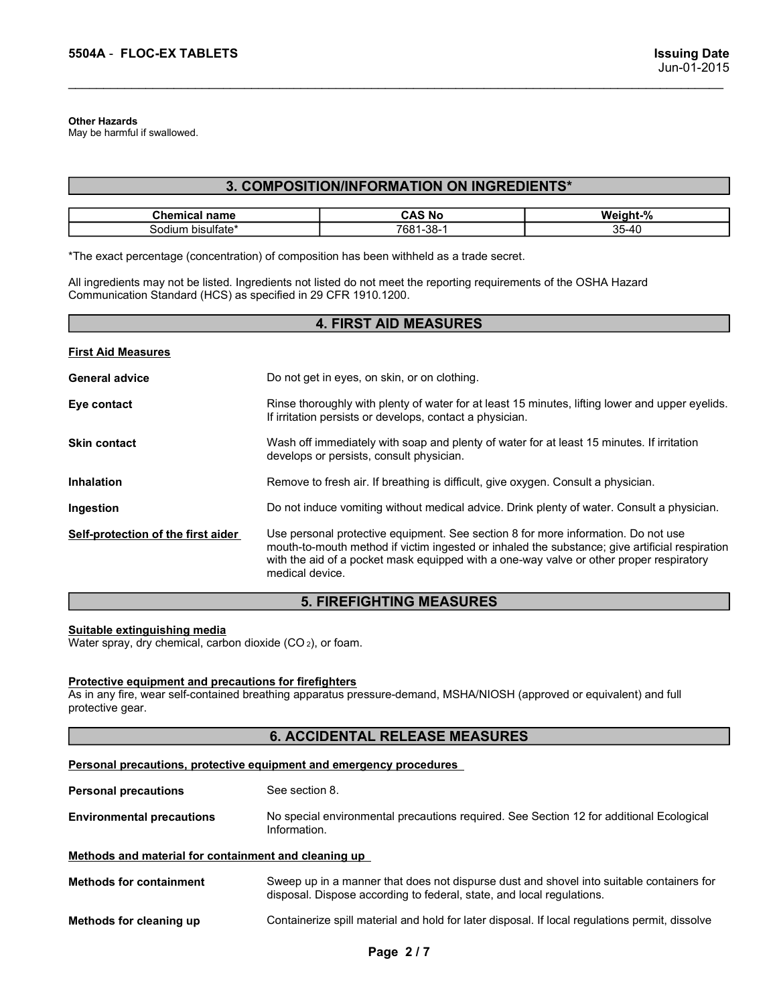### Other Hazards

### 3. COMPOSITION/INFORMATION ON INGREDIENTS\*

| 5504A - FLOC-EX TABLETS                                                                                                                                                               |                                            | <b>Issuing Date</b> |
|---------------------------------------------------------------------------------------------------------------------------------------------------------------------------------------|--------------------------------------------|---------------------|
|                                                                                                                                                                                       |                                            | Jun-01-2015         |
|                                                                                                                                                                                       |                                            |                     |
| <b>Other Hazards</b><br>May be harmful if swallowed.                                                                                                                                  |                                            |                     |
|                                                                                                                                                                                       |                                            |                     |
|                                                                                                                                                                                       |                                            |                     |
|                                                                                                                                                                                       | 3. COMPOSITION/INFORMATION ON INGREDIENTS* |                     |
| <b>Chemical name</b>                                                                                                                                                                  | <b>CAS No</b>                              |                     |
| Sodium bisulfate*                                                                                                                                                                     | 7681-38-1                                  | Weight-%<br>35-40   |
| *The exact percentage (concentration) of composition has been withheld as a trade secret.                                                                                             |                                            |                     |
| All ingredients may not be listed. Ingredients not listed do not meet the reporting requirements of the OSHA Hazard<br>Communication Standard (HCS) as specified in 29 CFR 1910.1200. |                                            |                     |

| 5504A - FLOC-EX TABLETS                                                                                                                                                                                                                                                            |                                                                                                                                                                                                                                                                                                   |                                                                                                | <b>Issuing Date</b><br>Jun-01-2015                                                              |  |  |  |  |
|------------------------------------------------------------------------------------------------------------------------------------------------------------------------------------------------------------------------------------------------------------------------------------|---------------------------------------------------------------------------------------------------------------------------------------------------------------------------------------------------------------------------------------------------------------------------------------------------|------------------------------------------------------------------------------------------------|-------------------------------------------------------------------------------------------------|--|--|--|--|
| <b>Other Hazards</b><br>May be harmful if swallowed.                                                                                                                                                                                                                               |                                                                                                                                                                                                                                                                                                   |                                                                                                |                                                                                                 |  |  |  |  |
|                                                                                                                                                                                                                                                                                    |                                                                                                                                                                                                                                                                                                   | 3. COMPOSITION/INFORMATION ON INGREDIENTS*                                                     |                                                                                                 |  |  |  |  |
| <b>Chemical name</b><br>Sodium bisulfate*                                                                                                                                                                                                                                          |                                                                                                                                                                                                                                                                                                   | <b>CAS No</b><br>7681-38-1                                                                     | Weight-%<br>35-40                                                                               |  |  |  |  |
| *The exact percentage (concentration) of composition has been withheld as a trade secret.<br>All ingredients may not be listed. Ingredients not listed do not meet the reporting requirements of the OSHA Hazard<br>Communication Standard (HCS) as specified in 29 CFR 1910.1200. |                                                                                                                                                                                                                                                                                                   |                                                                                                |                                                                                                 |  |  |  |  |
|                                                                                                                                                                                                                                                                                    |                                                                                                                                                                                                                                                                                                   | <b>4. FIRST AID MEASURES</b>                                                                   |                                                                                                 |  |  |  |  |
| <b>First Aid Measures</b>                                                                                                                                                                                                                                                          |                                                                                                                                                                                                                                                                                                   |                                                                                                |                                                                                                 |  |  |  |  |
| <b>General advice</b>                                                                                                                                                                                                                                                              |                                                                                                                                                                                                                                                                                                   | Do not get in eyes, on skin, or on clothing.                                                   |                                                                                                 |  |  |  |  |
| Eye contact                                                                                                                                                                                                                                                                        |                                                                                                                                                                                                                                                                                                   | If irritation persists or develops, contact a physician.                                       | Rinse thoroughly with plenty of water for at least 15 minutes, lifting lower and upper eyelids. |  |  |  |  |
| <b>Skin contact</b>                                                                                                                                                                                                                                                                | Wash off immediately with soap and plenty of water for at least 15 minutes. If irritation<br>develops or persists, consult physician.                                                                                                                                                             |                                                                                                |                                                                                                 |  |  |  |  |
| <b>Inhalation</b>                                                                                                                                                                                                                                                                  | Remove to fresh air. If breathing is difficult, give oxygen. Consult a physician.                                                                                                                                                                                                                 |                                                                                                |                                                                                                 |  |  |  |  |
| Ingestion                                                                                                                                                                                                                                                                          | Do not induce vomiting without medical advice. Drink plenty of water. Consult a physician.                                                                                                                                                                                                        |                                                                                                |                                                                                                 |  |  |  |  |
| Self-protection of the first aider                                                                                                                                                                                                                                                 | Use personal protective equipment. See section 8 for more information. Do not use<br>mouth-to-mouth method if victim ingested or inhaled the substance; give artificial respiration<br>with the aid of a pocket mask equipped with a one-way valve or other proper respiratory<br>medical device. |                                                                                                |                                                                                                 |  |  |  |  |
|                                                                                                                                                                                                                                                                                    |                                                                                                                                                                                                                                                                                                   | <b>5. FIREFIGHTING MEASURES</b>                                                                |                                                                                                 |  |  |  |  |
| Suitable extinguishing media<br>Water spray, dry chemical, carbon dioxide (CO2), or foam.                                                                                                                                                                                          |                                                                                                                                                                                                                                                                                                   |                                                                                                |                                                                                                 |  |  |  |  |
| <b>Protective equipment and precautions for firefighters</b><br>As in any fire, wear self-contained breathing apparatus pressure-demand, MSHA/NIOSH (approved or equivalent) and full<br>protective gear.                                                                          |                                                                                                                                                                                                                                                                                                   |                                                                                                |                                                                                                 |  |  |  |  |
|                                                                                                                                                                                                                                                                                    |                                                                                                                                                                                                                                                                                                   | <b>6. ACCIDENTAL RELEASE MEASURES</b>                                                          |                                                                                                 |  |  |  |  |
| Personal precautions, protective equipment and emergency procedures                                                                                                                                                                                                                |                                                                                                                                                                                                                                                                                                   |                                                                                                |                                                                                                 |  |  |  |  |
| <b>Personal precautions</b>                                                                                                                                                                                                                                                        | See section 8.                                                                                                                                                                                                                                                                                    |                                                                                                |                                                                                                 |  |  |  |  |
| <b>Environmental precautions</b>                                                                                                                                                                                                                                                   | Information.                                                                                                                                                                                                                                                                                      |                                                                                                | No special environmental precautions required. See Section 12 for additional Ecological         |  |  |  |  |
| Methods and material for containment and cleaning up                                                                                                                                                                                                                               |                                                                                                                                                                                                                                                                                                   |                                                                                                |                                                                                                 |  |  |  |  |
| <b>Methods for containment</b>                                                                                                                                                                                                                                                     |                                                                                                                                                                                                                                                                                                   | disposal. Dispose according to federal, state, and local regulations.                          | Sweep up in a manner that does not dispurse dust and shovel into suitable containers for        |  |  |  |  |
| Methods for cleaning up                                                                                                                                                                                                                                                            |                                                                                                                                                                                                                                                                                                   | Containerize spill material and hold for later disposal. If local regulations permit, dissolve |                                                                                                 |  |  |  |  |

# 5. FIREFIGHTING MEASURES

# 6. ACCIDENTAL RELEASE MEASURES

|                                                                                               | modul-to-modul modifical victim ingebied of innaled the babbiance, give artificial respiration<br>with the aid of a pocket mask equipped with a one-way valve or other proper respiratory<br>medical device. |
|-----------------------------------------------------------------------------------------------|--------------------------------------------------------------------------------------------------------------------------------------------------------------------------------------------------------------|
|                                                                                               | <b>5. FIREFIGHTING MEASURES</b>                                                                                                                                                                              |
| Suitable extinguishing media<br>Water spray, dry chemical, carbon dioxide $(CO_2)$ , or foam. |                                                                                                                                                                                                              |
| Protective equipment and precautions for firefighters<br>protective gear.                     | As in any fire, wear self-contained breathing apparatus pressure-demand, MSHA/NIOSH (approved or equivalent) and full                                                                                        |
|                                                                                               | <b>6. ACCIDENTAL RELEASE MEASURES</b>                                                                                                                                                                        |
|                                                                                               | Personal precautions, protective equipment and emergency procedures                                                                                                                                          |
| <b>Personal precautions</b>                                                                   | See section 8.                                                                                                                                                                                               |
| <b>Environmental precautions</b>                                                              | No special environmental precautions required. See Section 12 for additional Ecological<br>Information.                                                                                                      |
| Methods and material for containment and cleaning up                                          |                                                                                                                                                                                                              |
| <b>Methods for containment</b>                                                                | Sweep up in a manner that does not dispurse dust and shovel into suitable containers for<br>disposal. Dispose according to federal, state, and local regulations.                                            |
| Methods for cleaning up                                                                       | Containerize spill material and hold for later disposal. If local regulations permit, dissolve                                                                                                               |
|                                                                                               | Page 2/7                                                                                                                                                                                                     |
|                                                                                               |                                                                                                                                                                                                              |
|                                                                                               |                                                                                                                                                                                                              |
|                                                                                               |                                                                                                                                                                                                              |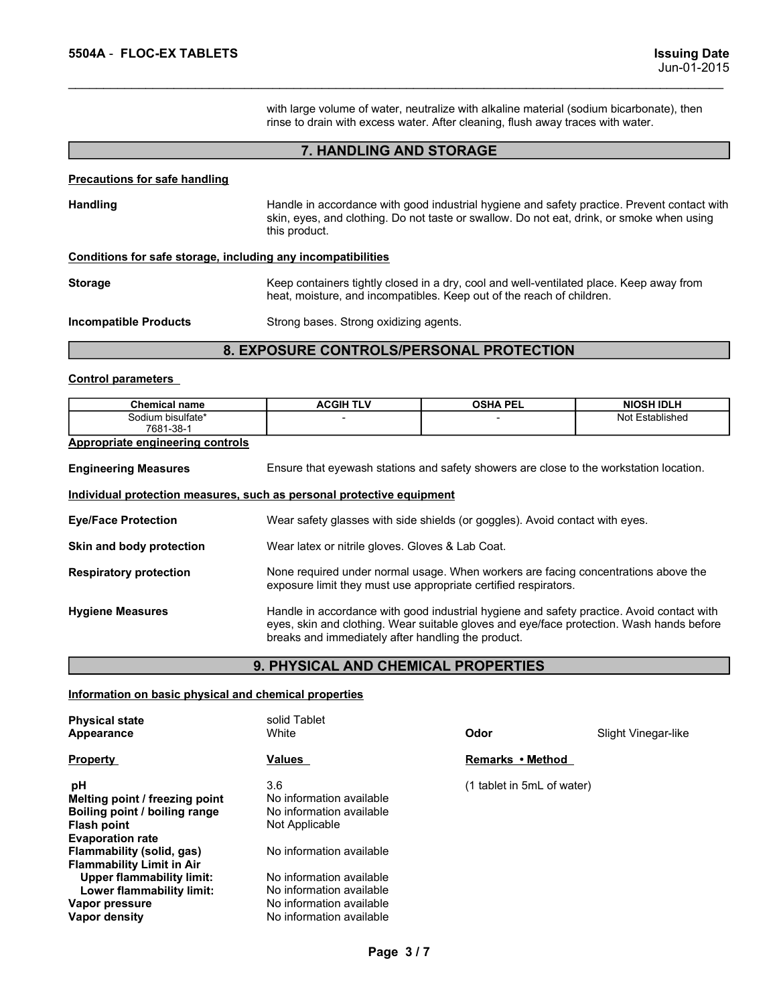**5504A - FLOC-EX TABLETS**<br>
un-01-2015<br>
with large volume of water, neutralize with alkaline material (sodium bicarbonate), then<br>
rinse to drain with excess water. After cleaning, flush away traces with water. Issuing Date<br>Jun-01-2015<br>with large volume of water, neutralize with alkaline material (sodium bicarbonate), then<br>rinse to drain with excess water. After cleaning, flush away traces with water.<br>7. HANDLING AND STORAGE **ring Date**<br>
with large volume of water, neutralize with alkaline material (sodium bicarbonate), then<br>
rinse to drain with excess water. After cleaning, flush away traces with water.<br> **7. HANDLING AND STORAGE** 

### 7. HANDLING AND STORAGE

**5504A - FLOC-EX TABLETS**<br>
with large volume of water, neutralize with alkaline material (sodiurins to the drain with excess water. After cleaning, flush away traces **7.**<br> **Precautions for safe handling**<br>
Handle in accorda SSO4A - FLOC-EX TABLETS<br>
with large volume of water, neutralize with alkaline material (sodium bicarbonate), then<br>
mise to drain with excess water. After cleaning, flush away traces with water.<br>
T. HANDLING AND STORAGE<br>
Ha **ISSUING Date**<br>Sun-01-2015<br>Summer of water, neutralize with alkaline material (sodium bicarbonate), then<br>tinse to drain with excess water. After cleaning, flush away traces with water.<br>T. **HANDLING AND STORAGE**<br>Handle in a **Issuing**<br>Jun-01-2<br>with large volume of water, neutralize with alkaline material (sodium bicarbonate), then<br>time to drain with excess water. After cleaning, flush away traces with water.<br>**7. HANDLING AND STORAGE**<br>Handle in **EXECUSE SECUS ASSALUTE SAFE SAFE SAFE SAFE AND STORAGE**<br>
With large volume of water, neutralize with alkaline material (sodium bicarbonate), then<br>
minse to drain with excess water. After cleaning, flush away traces with w Storage Keep containers tightly diversion and well-ventilate (foldum bicahonate), then<br>
this are volume of variative with a dring material (solium bicahonate), then<br>
this et o drain with excess water. After cleaning, flush **Example 15 Start Start Conducts**<br>
Start Start Start Minister metalize with alkaline material (sodium bicarbonate), then<br>
trinse to drain with excess water. After cleaning, flush away traces with water.<br> **7. HANDLING AND S ISSUA - FLOC-EXTABLETS**<br>
ISSUING DATE<br>
With large volume of water, neutralize with alkaline material (socium bicarbonate), then<br>
rinse to drain with excess water. After cleaning, flush away traces with vater.<br> **Proceution** 

### 8. EXPOSURE CONTROLS/PERSONAL PROTECTION

| 5504A - FLOC-EX TABLETS                                               | <b>Issuing Date</b><br>Jun-01-2015                                                                                                                                                                        |                 |                   |  |  |  |
|-----------------------------------------------------------------------|-----------------------------------------------------------------------------------------------------------------------------------------------------------------------------------------------------------|-----------------|-------------------|--|--|--|
|                                                                       | with large volume of water, neutralize with alkaline material (sodium bicarbonate), then<br>rinse to drain with excess water. After cleaning, flush away traces with water.                               |                 |                   |  |  |  |
|                                                                       | 7. HANDLING AND STORAGE                                                                                                                                                                                   |                 |                   |  |  |  |
| <b>Precautions for safe handling</b>                                  |                                                                                                                                                                                                           |                 |                   |  |  |  |
| <b>Handling</b>                                                       | Handle in accordance with good industrial hygiene and safety practice. Prevent contact with<br>skin, eyes, and clothing. Do not taste or swallow. Do not eat, drink, or smoke when using<br>this product. |                 |                   |  |  |  |
| Conditions for safe storage, including any incompatibilities          |                                                                                                                                                                                                           |                 |                   |  |  |  |
| <b>Storage</b>                                                        | Keep containers tightly closed in a dry, cool and well-ventilated place. Keep away from<br>heat, moisture, and incompatibles. Keep out of the reach of children.                                          |                 |                   |  |  |  |
| <b>Incompatible Products</b>                                          | Strong bases. Strong oxidizing agents.                                                                                                                                                                    |                 |                   |  |  |  |
|                                                                       | 8. EXPOSURE CONTROLS/PERSONAL PROTECTION                                                                                                                                                                  |                 |                   |  |  |  |
| <b>Control parameters</b>                                             |                                                                                                                                                                                                           |                 |                   |  |  |  |
| <b>Chemical name</b>                                                  | <b>ACGIH TLV</b>                                                                                                                                                                                          | <b>OSHA PEL</b> | <b>NIOSH IDLH</b> |  |  |  |
| Sodium bisulfate*<br>7681-38-1                                        |                                                                                                                                                                                                           |                 | Not Established   |  |  |  |
| <b>Appropriate engineering controls</b>                               |                                                                                                                                                                                                           |                 |                   |  |  |  |
| <b>Engineering Measures</b>                                           | Ensure that eyewash stations and safety showers are close to the workstation location.                                                                                                                    |                 |                   |  |  |  |
| Individual protection measures, such as personal protective equipment |                                                                                                                                                                                                           |                 |                   |  |  |  |

win angle volume of water, After cleaning, flush away traces with<br>
The to drain with excess water. After cleaning, flush away traces with<br>
The Handling<br>
Handling<br>
Handling<br>
Handling<br>
Handling<br>
Handling<br>
Handling<br>
Handling<br> **Engineering Measures Engineering Measures Engineering Measures (Section Measure The West Station Station Station Stations and Stations and Dender Stations and Stations and Stations and Stations are consumed to the station Executions for safe handling**<br>
Handle in accordance with good industrial hygiene and safely practice. Prevent contact with<br>
this product.<br> **Conditions for safe storage.** including any incompatibilities<br> **Storage**<br> **Condit** From the meconomeration of the meconomeration with good industrial hygiene and safety practice. Prevent contact with<br>
Sconditions for safe storage, including any incompatibilities<br>
Storage<br>
Conditions for safe storage, inc Sonditions for safe storage<br>
this product.<br>
this product.<br>
Storage<br>
Storage<br>
Storage Mead, molsture, and incompatibilities<br>
Storage Mead, molsture, and incompatibles. Keep out of the reach of children.<br>
Incompatible Produc Conditions for safe storage, including any incompatibilities<br>
Storage<br>
Monetare, and incompatibles Keep out of the reach of children.<br>
Incompatible Products<br>
Sometion None Respirators and incompatibles Keep out of the reac **Express containers tightly closed in a dry, cool and well-ventilated place. Keep away from<br>
Keep containers tightly closed in a dry, cool and well-ventilated place. Keep away from<br>
Strong bases. Strong oxidizing agents.<br>** Storage Keep omitiones Handle in thy cool and well-emittial educations hand the case of the case of the form of the contact of the case. Strong passes. Strong postalizing agents.<br> **EXPOSURE CONTROLS/PERSONAL PROTECTION**<br>
C From the experiment of the reach of children.<br>
Strong bases. Strong oxidizing agents.<br>
Strong bases. Strong oxidizing agents.<br>
ACGIH TLV OSHA PEL NOSH IDLH<br>
ACGIH TLV OSHA PEL NOSH IDLH<br>
FINIST TRISTERENT TRISTERENT TRISTE Strong bases. Strong oxidizing agents.<br> **BRACK CONTROLS/PERSONAL PROTECTION**<br> **ACGIHTLY** OSHA PEL NOSH DUH<br>
FIRSURE CONTROLS/PERSONAL PROTECTION<br>
FIRSURE THE NORMAL TRIST THE SEAD OF THE PROPERTIES<br>
THE PROPERT SEARCH AND Control parameters<br>
Chemical name<br>
Scolim Nexider<br>
Appropriate engineering controls<br>
Engineering Measures<br>
Engineering Measures<br>
Engineering Measures<br>
Engineering Measures<br>
Engineering Measures<br>
Engineering Measures<br>
Engin Chamical name<br> **Example in the solid Solid Science of the Chapter of the Chapter of the Chapter of the Chapter of the Chapter<br>
Physical state of the state solid Science of the Science of the Workstation location.<br>
Informat** Chemical annotation and the product and the matter of the matter of the matter of the matter of the set of the stations and safety showers are close to the workstation location.<br> **Appropriate engineering Measures** Ensure t Engineering Measures<br>
Ensure that eyewash stations and safety showers are close to the workstation location.<br>
Interval and body protection<br>
Wear safety glasses with side shields (or goggles). Avoid contact with eyes.<br>
Skin Engineering Measures<br>
Insure that eyewash stations and sately showes are close to the workstation location.<br>
Individual protection<br>
Wear safely glasses with side shields (or goggles). Avoid contact with eyes.<br>
Skin and bod

### 9. PHYSICAL AND CHEMICAL PROPERTIES

| Individual protection measures, such as personal protective equipment                                                                                                                                                                                                                              |                                                                                                                                                                                                                                             |                            |                                                                                    |  |  |
|----------------------------------------------------------------------------------------------------------------------------------------------------------------------------------------------------------------------------------------------------------------------------------------------------|---------------------------------------------------------------------------------------------------------------------------------------------------------------------------------------------------------------------------------------------|----------------------------|------------------------------------------------------------------------------------|--|--|
| <b>Eye/Face Protection</b>                                                                                                                                                                                                                                                                         | Wear safety glasses with side shields (or goggles). Avoid contact with eyes.                                                                                                                                                                |                            |                                                                                    |  |  |
| Skin and body protection                                                                                                                                                                                                                                                                           | Wear latex or nitrile gloves. Gloves & Lab Coat.                                                                                                                                                                                            |                            |                                                                                    |  |  |
| <b>Respiratory protection</b>                                                                                                                                                                                                                                                                      | exposure limit they must use appropriate certified respirators.                                                                                                                                                                             |                            | None required under normal usage. When workers are facing concentrations above the |  |  |
| <b>Hygiene Measures</b>                                                                                                                                                                                                                                                                            | Handle in accordance with good industrial hygiene and safety practice. Avoid contact with<br>eyes, skin and clothing. Wear suitable gloves and eye/face protection. Wash hands before<br>breaks and immediately after handling the product. |                            |                                                                                    |  |  |
|                                                                                                                                                                                                                                                                                                    | 9. PHYSICAL AND CHEMICAL PROPERTIES                                                                                                                                                                                                         |                            |                                                                                    |  |  |
| Information on basic physical and chemical properties                                                                                                                                                                                                                                              |                                                                                                                                                                                                                                             |                            |                                                                                    |  |  |
|                                                                                                                                                                                                                                                                                                    |                                                                                                                                                                                                                                             |                            |                                                                                    |  |  |
| <b>Physical state</b><br>Appearance                                                                                                                                                                                                                                                                | solid Tablet<br>White                                                                                                                                                                                                                       | Odor                       | Slight Vinegar-like                                                                |  |  |
| <b>Property</b>                                                                                                                                                                                                                                                                                    | Values                                                                                                                                                                                                                                      | Remarks • Method           |                                                                                    |  |  |
| pH<br>Melting point / freezing point<br>Boiling point / boiling range<br><b>Flash point</b><br><b>Evaporation rate</b><br><b>Flammability (solid, gas)</b><br><b>Flammability Limit in Air</b><br><b>Upper flammability limit:</b><br>Lower flammability limit:<br>Vapor pressure<br>Vapor density | 3.6<br>No information available<br>No information available<br>Not Applicable<br>No information available<br>No information available<br>No information available<br>No information available<br>No information available                   | (1 tablet in 5mL of water) |                                                                                    |  |  |
|                                                                                                                                                                                                                                                                                                    | Page 3/7                                                                                                                                                                                                                                    |                            |                                                                                    |  |  |
|                                                                                                                                                                                                                                                                                                    |                                                                                                                                                                                                                                             |                            |                                                                                    |  |  |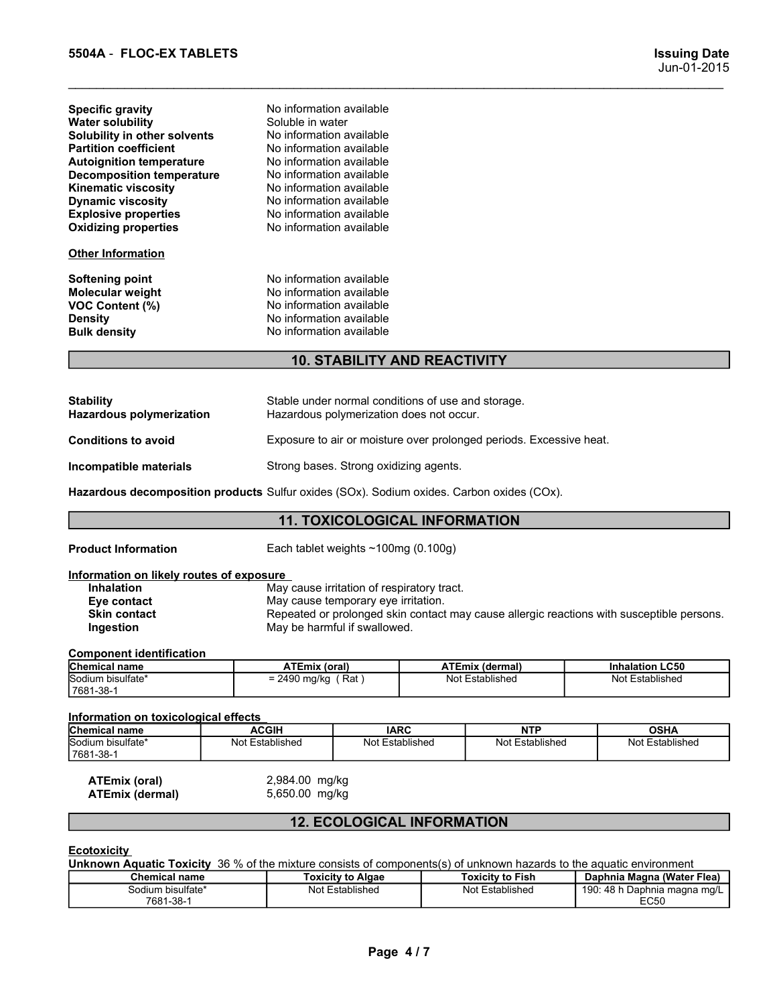| 5504A - FLOC-EX TABLETS                                      |                                                                                                  | <b>Issuing Date</b><br>Jun-01-2015 |
|--------------------------------------------------------------|--------------------------------------------------------------------------------------------------|------------------------------------|
| <b>Specific gravity</b>                                      | No information available                                                                         |                                    |
| <b>Water solubility</b>                                      | Soluble in water                                                                                 |                                    |
| Solubility in other solvents<br><b>Partition coefficient</b> | No information available<br>No information available                                             |                                    |
| <b>Autoignition temperature</b>                              | No information available                                                                         |                                    |
| <b>Decomposition temperature</b><br>Kinematic viscosity      | No information available<br>No information available                                             |                                    |
| <b>Dynamic viscosity</b>                                     | No information available                                                                         |                                    |
| <b>Explosive properties</b><br><b>Oxidizing properties</b>   | No information available<br>No information available                                             |                                    |
| <b>Other Information</b>                                     |                                                                                                  |                                    |
| Softening point                                              | No information available                                                                         |                                    |
| Molecular weight                                             | No information available                                                                         |                                    |
| VOC Content (%)<br><b>Density</b>                            | No information available<br>No information available                                             |                                    |
| <b>Bulk density</b>                                          | No information available                                                                         |                                    |
|                                                              | <b>10. STABILITY AND REACTIVITY</b>                                                              |                                    |
|                                                              |                                                                                                  |                                    |
|                                                              |                                                                                                  |                                    |
| <b>Stability</b>                                             | Stable under normal conditions of use and storage.<br>Hampshare making origination deep not cont |                                    |

### 10. STABILITY AND REACTIVITY

|                                                                                                                                                                                                                                                                                                                   |                                                                                                                                                                                                                                                                              |                                                                                                                   |  |                                                                                           |  | $0$ uli-vi-zviv                           |
|-------------------------------------------------------------------------------------------------------------------------------------------------------------------------------------------------------------------------------------------------------------------------------------------------------------------|------------------------------------------------------------------------------------------------------------------------------------------------------------------------------------------------------------------------------------------------------------------------------|-------------------------------------------------------------------------------------------------------------------|--|-------------------------------------------------------------------------------------------|--|-------------------------------------------|
| <b>Specific gravity</b><br><b>Water solubility</b><br>Solubility in other solvents<br><b>Partition coefficient</b><br><b>Autoignition temperature</b><br><b>Decomposition temperature</b><br><b>Kinematic viscosity</b><br><b>Dynamic viscosity</b><br><b>Explosive properties</b><br><b>Oxidizing properties</b> | No information available<br>Soluble in water<br>No information available<br>No information available<br>No information available<br>No information available<br>No information available<br>No information available<br>No information available<br>No information available |                                                                                                                   |  |                                                                                           |  |                                           |
| <b>Other Information</b>                                                                                                                                                                                                                                                                                          |                                                                                                                                                                                                                                                                              |                                                                                                                   |  |                                                                                           |  |                                           |
| <b>Softening point</b><br>Molecular weight<br><b>VOC Content (%)</b><br><b>Density</b><br><b>Bulk density</b>                                                                                                                                                                                                     | No information available<br>No information available<br>No information available<br>No information available<br>No information available                                                                                                                                     |                                                                                                                   |  |                                                                                           |  |                                           |
|                                                                                                                                                                                                                                                                                                                   |                                                                                                                                                                                                                                                                              | <b>10. STABILITY AND REACTIVITY</b>                                                                               |  |                                                                                           |  |                                           |
| <b>Stability</b><br><b>Hazardous polymerization</b>                                                                                                                                                                                                                                                               |                                                                                                                                                                                                                                                                              | Stable under normal conditions of use and storage.<br>Hazardous polymerization does not occur.                    |  |                                                                                           |  |                                           |
| <b>Conditions to avoid</b>                                                                                                                                                                                                                                                                                        |                                                                                                                                                                                                                                                                              | Exposure to air or moisture over prolonged periods. Excessive heat.                                               |  |                                                                                           |  |                                           |
| Incompatible materials                                                                                                                                                                                                                                                                                            |                                                                                                                                                                                                                                                                              | Strong bases. Strong oxidizing agents.                                                                            |  |                                                                                           |  |                                           |
| Hazardous decomposition products Sulfur oxides (SOx). Sodium oxides. Carbon oxides (COx).                                                                                                                                                                                                                         |                                                                                                                                                                                                                                                                              |                                                                                                                   |  |                                                                                           |  |                                           |
|                                                                                                                                                                                                                                                                                                                   |                                                                                                                                                                                                                                                                              | <b>11. TOXICOLOGICAL INFORMATION</b>                                                                              |  |                                                                                           |  |                                           |
| <b>Product Information</b>                                                                                                                                                                                                                                                                                        |                                                                                                                                                                                                                                                                              | Each tablet weights $\sim$ 100mg (0.100g)                                                                         |  |                                                                                           |  |                                           |
| Information on likely routes of exposure<br>Inhalation<br>Eye contact<br><b>Skin contact</b><br>Ingestion                                                                                                                                                                                                         |                                                                                                                                                                                                                                                                              | May cause irritation of respiratory tract.<br>May cause temporary eye irritation.<br>May be harmful if swallowed. |  | Repeated or prolonged skin contact may cause allergic reactions with susceptible persons. |  |                                           |
| <b>Component identification</b>                                                                                                                                                                                                                                                                                   |                                                                                                                                                                                                                                                                              |                                                                                                                   |  |                                                                                           |  |                                           |
| Chemical name<br>Sodium bisulfate*<br>7681-38-1                                                                                                                                                                                                                                                                   | <b>ATEmix (oral)</b><br>$= 2490$ mg/kg (Rat)                                                                                                                                                                                                                                 |                                                                                                                   |  | <b>ATEmix (dermal)</b><br>Not Established                                                 |  | <b>Inhalation LC50</b><br>Not Established |
| Information on toxicological effects                                                                                                                                                                                                                                                                              |                                                                                                                                                                                                                                                                              |                                                                                                                   |  |                                                                                           |  |                                           |
| Chemical name                                                                                                                                                                                                                                                                                                     | <b>ACGIH</b>                                                                                                                                                                                                                                                                 | <b>IARC</b>                                                                                                       |  | <b>NTP</b>                                                                                |  | <b>OSHA</b>                               |
| Sodium bisulfate*<br>7681-38-1                                                                                                                                                                                                                                                                                    | Not Established                                                                                                                                                                                                                                                              | Not Established                                                                                                   |  | Not Established                                                                           |  | Not Established                           |
| <b>ATEmix (oral)</b><br><b>ATEmix (dermal)</b>                                                                                                                                                                                                                                                                    | 2,984.00 mg/kg<br>5,650.00 mg/kg                                                                                                                                                                                                                                             |                                                                                                                   |  |                                                                                           |  |                                           |
|                                                                                                                                                                                                                                                                                                                   |                                                                                                                                                                                                                                                                              | 12 FCOLOGICAL INFORMATION                                                                                         |  |                                                                                           |  |                                           |

### 11. TOXICOLOGICAL INFORMATION

| Inhalation          |
|---------------------|
| Eve contact         |
| <b>Skin contact</b> |
| Ingestion           |

Manualtible materials Strong bases. Strong oxidizing agents.<br>
Articus decomposition products Sulfur oxides (SOx). Sodium oxides Carbon oxides (COx).<br>
11. **TOXICOLOGICAL INFORMATION**<br>
duct Information<br>
the labels of *a ty* Martinial Strong bases. Strong oxidizing agents.<br>
Articular articles distributed filest introvides (SOx). Sodium oxides (Cox).<br>
And the information and introvides of exposure<br>
that introvides of exposure intribution of r Product information<br>
Information on likely routes of exposure<br>
Eve centrate May case terration of respiration<br>
Eventration<br>
Eventration<br>
Eventration<br>
Skin contract May be harmful if svallowed.<br>
Chemponent intertification<br> omation Each tablet weights ~100mg (0.100g)<br>
on the May cause irritation of respiration they cause allergic reactions with susceptible persons.<br>
May cause temporary even irritation.<br>
In May be harmful if swallowed.<br>
The Ma Not Established Proposed Established Proposed Skin contact may cause allergic reactions with susceptible persons.<br>
Not Established Not Established Not Established Not Established Not Established Not Established Not Establi

| <b>Chemical name</b>            | ATEmix<br>∶(oral)                        | <b>ATEmix (dermal)</b> | <b>LC50</b><br>Inhalation |
|---------------------------------|------------------------------------------|------------------------|---------------------------|
| Sodium bisulfate*<br>17681-38-1 | 490?<br>Rat<br>-<br>mg/kg<br>-<br>11 I W | Not Established        | .<br>Established<br>Not   |

| <b>Component identification</b>                |                                  |                                   | May be harmful if swallowed. |                                                                                                                      |  |  |  |  |
|------------------------------------------------|----------------------------------|-----------------------------------|------------------------------|----------------------------------------------------------------------------------------------------------------------|--|--|--|--|
|                                                |                                  |                                   |                              |                                                                                                                      |  |  |  |  |
| <b>Chemical name</b>                           | <b>ATEmix (oral)</b>             |                                   | ATEmix (dermal)              | <b>Inhalation LC50</b>                                                                                               |  |  |  |  |
| Sodium bisulfate*                              | $= 2490$ mg/kg (Rat)             |                                   | Not Established              | Not Established                                                                                                      |  |  |  |  |
| 7681-38-1                                      |                                  |                                   |                              |                                                                                                                      |  |  |  |  |
| Information on toxicological effects           |                                  |                                   |                              |                                                                                                                      |  |  |  |  |
| Chemical name                                  | <b>ACGIH</b>                     | <b>IARC</b>                       | <b>NTP</b>                   | <b>OSHA</b>                                                                                                          |  |  |  |  |
| Sodium bisulfate*<br>7681-38-1                 | Not Established                  | Not Established                   | Not Established              | Not Established                                                                                                      |  |  |  |  |
| <b>ATEmix (oral)</b><br><b>ATEmix (dermal)</b> | 2,984.00 mg/kg<br>5,650.00 mg/kg |                                   |                              |                                                                                                                      |  |  |  |  |
|                                                |                                  | <b>12. ECOLOGICAL INFORMATION</b> |                              |                                                                                                                      |  |  |  |  |
| <b>Ecotoxicity</b>                             |                                  |                                   |                              |                                                                                                                      |  |  |  |  |
|                                                |                                  |                                   |                              | Unknown Aquatic Toxicity 36 % of the mixture consists of components(s) of unknown hazards to the aquatic environment |  |  |  |  |
| <b>Chemical name</b>                           |                                  | <b>Toxicity to Algae</b>          | <b>Toxicity to Fish</b>      | Daphnia Magna (Water Flea)                                                                                           |  |  |  |  |
| Sodium bisulfate*                              |                                  | Not Established                   | Not Established              | 190: 48 h Daphnia magna mg/L                                                                                         |  |  |  |  |
| 7681-38-1                                      |                                  |                                   | <b>EC50</b>                  |                                                                                                                      |  |  |  |  |

# 12. ECOLOGICAL INFORMATION

### **Ecotoxicity**

| <b>Chemical name</b>             | / Foxicitv to<br>Algae | Fish<br>Γoxicitv to      | Daphnia Magna (Water F<br>Flea)                 |
|----------------------------------|------------------------|--------------------------|-------------------------------------------------|
| bisultate <sup>®</sup><br>Sodium | Not<br>-stablished     | Not<br>blished<br>Establ | 190<br>48<br>∴nhnia magna mg/L<br>vav<br>.<br>. |
| $1 - 38 -$<br>768                |                        |                          | FATO<br>–∟ວ∪                                    |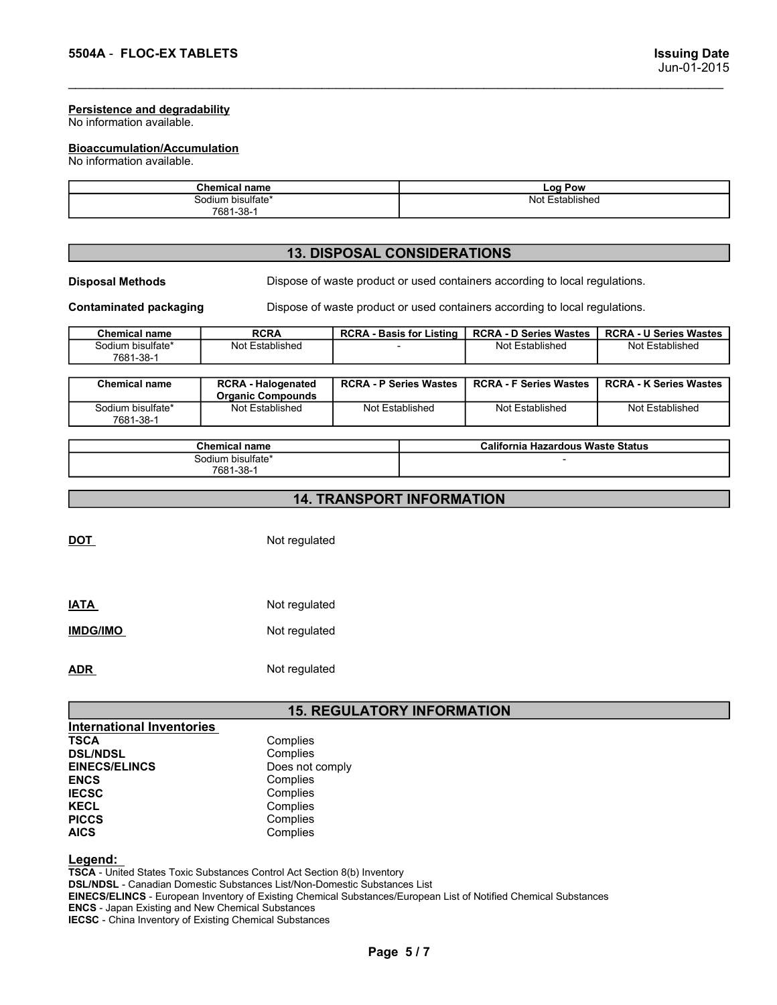# **Bioaccumulation/Accumulation**<br>No information available.

| 5504A - FLOC-EX TABLETS                                           | <b>Issuing Date</b>                |
|-------------------------------------------------------------------|------------------------------------|
|                                                                   | Jun-01-2015                        |
| <b>Persistence and degradability</b><br>No information available. |                                    |
| <b>Bioaccumulation/Accumulation</b><br>No information available.  |                                    |
| <b>Chemical name</b>                                              | <b>Log Pow</b>                     |
|                                                                   |                                    |
| Sodium bisulfate*<br>7681-38-1                                    | Not Established                    |
|                                                                   | <b>13. DISPOSAL CONSIDERATIONS</b> |

### 13. DISPOSAL CONSIDERATIONS

| 5504A - FLOC-EX TABLETS                                          |                                                        | <b>Issuing Date</b><br>Jun-01-2015 |                                   |                                                                             |                               |  |  |
|------------------------------------------------------------------|--------------------------------------------------------|------------------------------------|-----------------------------------|-----------------------------------------------------------------------------|-------------------------------|--|--|
| Persistence and degradability<br>No information available.       |                                                        |                                    |                                   |                                                                             |                               |  |  |
| <b>Bioaccumulation/Accumulation</b><br>No information available. |                                                        |                                    |                                   |                                                                             |                               |  |  |
|                                                                  | <b>Chemical name</b><br>Sodium bisulfate*<br>7681-38-1 |                                    | <b>Log Pow</b><br>Not Established |                                                                             |                               |  |  |
|                                                                  |                                                        |                                    |                                   |                                                                             |                               |  |  |
|                                                                  |                                                        | <b>13. DISPOSAL CONSIDERATIONS</b> |                                   |                                                                             |                               |  |  |
| <b>Disposal Methods</b>                                          |                                                        |                                    |                                   | Dispose of waste product or used containers according to local regulations. |                               |  |  |
| <b>Contaminated packaging</b>                                    |                                                        |                                    |                                   | Dispose of waste product or used containers according to local regulations. |                               |  |  |
| <b>Chemical name</b>                                             | <b>RCRA</b>                                            | <b>RCRA - Basis for Listing</b>    |                                   | <b>RCRA - D Series Wastes</b>                                               | <b>RCRA - U Series Wastes</b> |  |  |
| Sodium bisulfate*<br>7681-38-1                                   | Not Established                                        |                                    |                                   | Not Established                                                             | Not Established               |  |  |
| <b>Chemical name</b>                                             | <b>RCRA - Halogenated</b><br><b>Organic Compounds</b>  | <b>RCRA - P Series Wastes</b>      |                                   | <b>RCRA - F Series Wastes</b>                                               | <b>RCRA - K Series Wastes</b> |  |  |
| Sodium bisulfate*<br>7681-38-1                                   | Not Established                                        | Not Established                    |                                   | Not Established                                                             | Not Established               |  |  |
|                                                                  | <b>Chemical name</b>                                   |                                    |                                   | California Hazardous Waste Status                                           |                               |  |  |
|                                                                  | Sodium bisulfate*<br>7681-38-1                         |                                    |                                   |                                                                             |                               |  |  |
|                                                                  |                                                        | <b>14. TRANSPORT INFORMATION</b>   |                                   |                                                                             |                               |  |  |

| <b>Chemical name</b>           | <b>RCRA - Halogenated</b><br><b>Organic Compounds</b> | <b>RCRA - P Series Wastes</b> | <b>RCRA - F Series Wastes</b> | <b>RCRA - K Series Wastes</b> |
|--------------------------------|-------------------------------------------------------|-------------------------------|-------------------------------|-------------------------------|
| Sodium bisulfate*<br>7681-38-1 | Not Established                                       | Not Established               | Not Established               | Not Established               |

| <b>Chemical name</b>              | California Hazardous Waste Status |
|-----------------------------------|-----------------------------------|
| bisulfate*<br>$\cdots$<br>Sodium. |                                   |
| 7681-38-                          |                                   |

# 14. TRANSPORT INFORMATION

| <b>IATA</b>     | Not regulated |
|-----------------|---------------|
| <b>IMDG/IMO</b> | Not regulated |
| <b>ADR</b>      | Not regulated |

### 15. REGULATORY INFORMATION

|                                  | Organic Compounds    |                                   |  |                                   |                 |  |  |  |  |  |  |
|----------------------------------|----------------------|-----------------------------------|--|-----------------------------------|-----------------|--|--|--|--|--|--|
| Sodium bisulfate*<br>7681-38-1   | Not Established      | Not Established                   |  | Not Established                   | Not Established |  |  |  |  |  |  |
|                                  |                      |                                   |  |                                   |                 |  |  |  |  |  |  |
|                                  | <b>Chemical name</b> |                                   |  | California Hazardous Waste Status |                 |  |  |  |  |  |  |
|                                  | Sodium bisulfate*    |                                   |  |                                   |                 |  |  |  |  |  |  |
|                                  | 7681-38-1            |                                   |  |                                   |                 |  |  |  |  |  |  |
|                                  |                      |                                   |  |                                   |                 |  |  |  |  |  |  |
| <b>14. TRANSPORT INFORMATION</b> |                      |                                   |  |                                   |                 |  |  |  |  |  |  |
|                                  |                      |                                   |  |                                   |                 |  |  |  |  |  |  |
|                                  |                      |                                   |  |                                   |                 |  |  |  |  |  |  |
| <b>DOT</b>                       | Not regulated        |                                   |  |                                   |                 |  |  |  |  |  |  |
|                                  |                      |                                   |  |                                   |                 |  |  |  |  |  |  |
|                                  |                      |                                   |  |                                   |                 |  |  |  |  |  |  |
|                                  |                      |                                   |  |                                   |                 |  |  |  |  |  |  |
| <b>IATA</b>                      | Not regulated        |                                   |  |                                   |                 |  |  |  |  |  |  |
|                                  |                      |                                   |  |                                   |                 |  |  |  |  |  |  |
| <b>IMDG/IMO</b>                  | Not regulated        |                                   |  |                                   |                 |  |  |  |  |  |  |
|                                  |                      |                                   |  |                                   |                 |  |  |  |  |  |  |
|                                  |                      |                                   |  |                                   |                 |  |  |  |  |  |  |
| <b>ADR</b>                       | Not regulated        |                                   |  |                                   |                 |  |  |  |  |  |  |
|                                  |                      |                                   |  |                                   |                 |  |  |  |  |  |  |
|                                  |                      |                                   |  |                                   |                 |  |  |  |  |  |  |
|                                  |                      | <b>15. REGULATORY INFORMATION</b> |  |                                   |                 |  |  |  |  |  |  |
| <b>International Inventories</b> |                      |                                   |  |                                   |                 |  |  |  |  |  |  |
| <b>TSCA</b>                      | Complies             |                                   |  |                                   |                 |  |  |  |  |  |  |
| <b>DSL/NDSL</b>                  | Complies             |                                   |  |                                   |                 |  |  |  |  |  |  |
| <b>EINECS/ELINCS</b>             | Does not comply      |                                   |  |                                   |                 |  |  |  |  |  |  |
| <b>ENCS</b>                      | Complies             |                                   |  |                                   |                 |  |  |  |  |  |  |
| <b>IECSC</b>                     | Complies             |                                   |  |                                   |                 |  |  |  |  |  |  |
| <b>KECL</b>                      | Complies             |                                   |  |                                   |                 |  |  |  |  |  |  |
| <b>PICCS</b>                     | Complies             |                                   |  |                                   |                 |  |  |  |  |  |  |
| <b>AICS</b>                      | Complies             |                                   |  |                                   |                 |  |  |  |  |  |  |
|                                  |                      |                                   |  |                                   |                 |  |  |  |  |  |  |
|                                  |                      |                                   |  |                                   |                 |  |  |  |  |  |  |

### Legend:

TSCA - United States Toxic Substances Control Act Section 8(b) Inventory DSL/NDSL - Canadian Domestic Substances List/Non-Domestic Substances List EINECS/ELINCS - European Inventory of Existing Chemical Substances/European List of Notified Chemical Substances ENCS - Japan Existing and New Chemical Substances TORY INFORMATION<br>wentory<br>mances/European List of Notified Chemical Substances<br>Page 5 / 7 IECSC - China Inventory of Existing Chemical Substances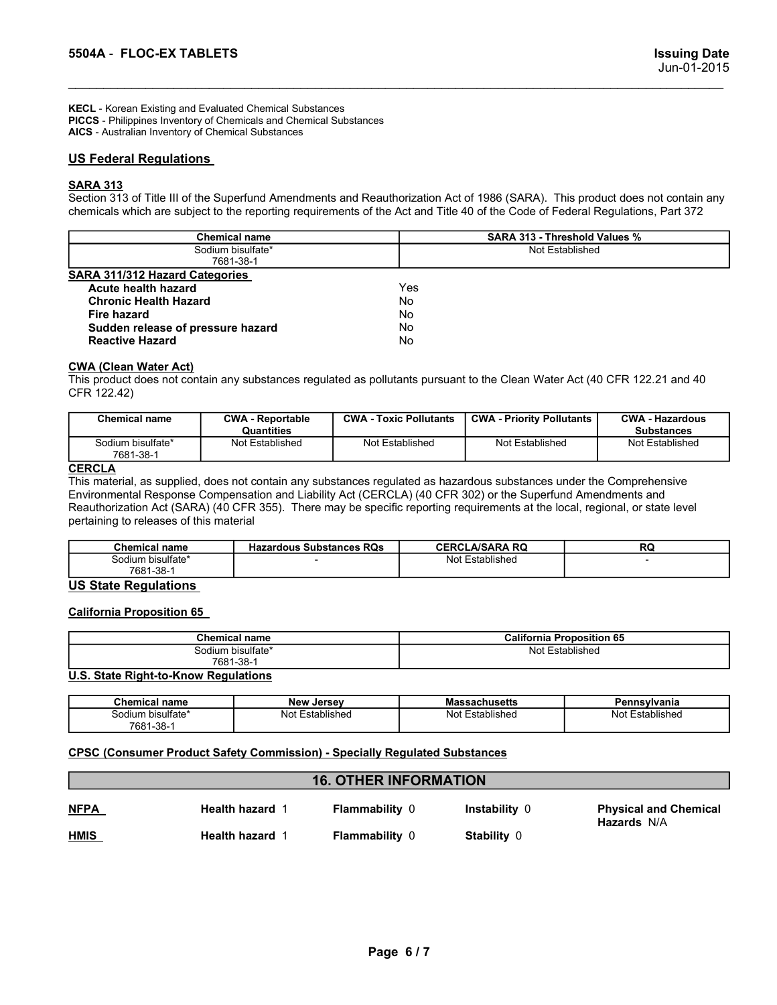5504A - FLOC-EX TABLETS<br>
Issuing Date<br>
Jun-01-2015<br>PICCS - Philippines Inventory of Chemicals and Chemical Substances<br>
AICS - Australian Inventory of Chemical Substances<br>
AICS - Australian Inventory of Chemical Substances KECL - Korean Existing and Evaluated Chemical Substances PICCS - Philippines Inventory of Chemicals and Chemical Substances AICS - Australian Inventory of Chemical Substances

**S504A - FLOC-EX TABLETS**<br>
WECL - Korean Existing and Evaluated Chemical Substances<br>
PICCS - Philippines Inventory of Chemical substances<br>
AICS - Australian Inventory of Chemical Substances<br>
<u>US Federal Regulations</u><br>
SARA SARA 313<br>Section 313 of Title III of the Superfund Amendments and Reauthorization Act of 1986 (SARA). This product does not contain any

| 5504A - FLOC-EX TABLETS                                                                                                                                                                                                                                                                                                                                                                                                                       |                                                         |  |                               |                                  |                 | <b>Issuing Date</b><br>Jun-01-2015          |
|-----------------------------------------------------------------------------------------------------------------------------------------------------------------------------------------------------------------------------------------------------------------------------------------------------------------------------------------------------------------------------------------------------------------------------------------------|---------------------------------------------------------|--|-------------------------------|----------------------------------|-----------------|---------------------------------------------|
| KECL - Korean Existing and Evaluated Chemical Substances<br>PICCS - Philippines Inventory of Chemicals and Chemical Substances<br>AICS - Australian Inventory of Chemical Substances                                                                                                                                                                                                                                                          |                                                         |  |                               |                                  |                 |                                             |
| <b>US Federal Regulations</b>                                                                                                                                                                                                                                                                                                                                                                                                                 |                                                         |  |                               |                                  |                 |                                             |
| <b>SARA 313</b><br>Section 313 of Title III of the Superfund Amendments and Reauthorization Act of 1986 (SARA). This product does not contain any<br>chemicals which are subject to the reporting requirements of the Act and Title 40 of the Code of Federal Regulations, Part 372                                                                                                                                                           |                                                         |  |                               |                                  |                 |                                             |
| <b>Chemical name</b>                                                                                                                                                                                                                                                                                                                                                                                                                          | <b>SARA 313 - Threshold Values %</b><br>Not Established |  |                               |                                  |                 |                                             |
|                                                                                                                                                                                                                                                                                                                                                                                                                                               | Sodium bisulfate*<br>7681-38-1                          |  |                               |                                  |                 |                                             |
| <b>SARA 311/312 Hazard Categories</b><br><b>Acute health hazard</b><br><b>Chronic Health Hazard</b><br><b>Fire hazard</b><br>Sudden release of pressure hazard<br><b>Reactive Hazard</b>                                                                                                                                                                                                                                                      |                                                         |  | Yes<br>No<br>No.<br>No<br>No. |                                  |                 |                                             |
| <b>CWA (Clean Water Act)</b><br>This product does not contain any substances regulated as pollutants pursuant to the Clean Water Act (40 CFR 122.21 and 40<br>CFR 122.42)                                                                                                                                                                                                                                                                     |                                                         |  |                               |                                  |                 |                                             |
| <b>Chemical name</b>                                                                                                                                                                                                                                                                                                                                                                                                                          | <b>CWA - Reportable</b><br>Quantities                   |  | <b>CWA - Toxic Pollutants</b> | <b>CWA - Priority Pollutants</b> |                 | <b>CWA - Hazardous</b><br><b>Substances</b> |
| Sodium bisulfate*                                                                                                                                                                                                                                                                                                                                                                                                                             | Not Established                                         |  | Not Established               | Not Established                  |                 | Not Established                             |
| 7681-38-1<br><b>CERCLA</b><br>This material, as supplied, does not contain any substances regulated as hazardous substances under the Comprehensive<br>Environmental Response Compensation and Liability Act (CERCLA) (40 CFR 302) or the Superfund Amendments and<br>Reauthorization Act (SARA) (40 CFR 355). There may be specific reporting requirements at the local, regional, or state level<br>pertaining to releases of this material |                                                         |  |                               |                                  |                 |                                             |
| <b>Chemical name</b>                                                                                                                                                                                                                                                                                                                                                                                                                          | <b>Hazardous Substances RQs</b>                         |  |                               | <b>CERCLA/SARA RQ</b>            |                 | RQ                                          |
| Sodium bisulfate*<br>7681-38-1                                                                                                                                                                                                                                                                                                                                                                                                                |                                                         |  |                               | Not Established                  |                 | $\sim$                                      |
| <b>US State Regulations</b><br><b>California Proposition 65</b>                                                                                                                                                                                                                                                                                                                                                                               |                                                         |  |                               |                                  |                 |                                             |
|                                                                                                                                                                                                                                                                                                                                                                                                                                               | <b>Chemical name</b>                                    |  |                               | <b>California Proposition 65</b> |                 |                                             |
|                                                                                                                                                                                                                                                                                                                                                                                                                                               | Sodium bisulfate*<br>7681-38-1                          |  |                               |                                  | Not Established |                                             |
|                                                                                                                                                                                                                                                                                                                                                                                                                                               |                                                         |  |                               |                                  |                 |                                             |

| Fire hazard<br>Sudden release of pressure hazard                                                                                                                          |                                       | No<br>No                      |                 |                                  |  |                                             |
|---------------------------------------------------------------------------------------------------------------------------------------------------------------------------|---------------------------------------|-------------------------------|-----------------|----------------------------------|--|---------------------------------------------|
| <b>Reactive Hazard</b>                                                                                                                                                    |                                       | No                            |                 |                                  |  |                                             |
| <b>CWA (Clean Water Act)</b><br>This product does not contain any substances regulated as pollutants pursuant to the Clean Water Act (40 CFR 122.21 and 40<br>CFR 122.42) |                                       |                               |                 |                                  |  |                                             |
| <b>Chemical name</b>                                                                                                                                                      | <b>CWA - Reportable</b><br>Quantities | <b>CWA - Toxic Pollutants</b> |                 | <b>CWA - Priority Pollutants</b> |  | <b>CWA - Hazardous</b><br><b>Substances</b> |
| Sodium bisulfate*<br>Not Established<br>7681-38-1                                                                                                                         |                                       | Not Established               | Not Established |                                  |  | Not Established                             |
| pertaining to releases of this material<br><b>Chemical name</b>                                                                                                           | <b>Hazardous Substances RQs</b>       |                               |                 | <b>CERCLA/SARA RQ</b>            |  | <b>RQ</b>                                   |
| Sodium bisulfate*<br>7681-38-1                                                                                                                                            |                                       |                               | Not Established |                                  |  |                                             |
| <b>US State Regulations</b><br><b>California Proposition 65</b>                                                                                                           |                                       |                               |                 |                                  |  |                                             |
|                                                                                                                                                                           | <b>Chemical name</b>                  |                               |                 | <b>California Proposition 65</b> |  |                                             |
|                                                                                                                                                                           | Sodium bisulfate*<br>7681-38-1        |                               |                 | Not Established                  |  |                                             |
| U.S. State Right-to-Know Regulations                                                                                                                                      |                                       |                               |                 |                                  |  |                                             |
| <b>Chemical name</b>                                                                                                                                                      | <b>New Jersey</b>                     |                               |                 | <b>Massachusetts</b>             |  | Pennsylvania                                |
| Sodium bisulfate*<br>7681-38-1                                                                                                                                            | Not Established                       |                               |                 | Not Established                  |  | Not Established                             |
| <b>CPSC (Consumer Product Safety Commission) - Specially Regulated Substances</b>                                                                                         |                                       |                               |                 |                                  |  |                                             |
|                                                                                                                                                                           |                                       | <b>16. OTHER INFORMATION</b>  |                 |                                  |  |                                             |

### **CERCLA**

| Chemical<br>name       | <b>Hazardous Substances RQs</b> | <b>CERCLA/SARA RQ</b> | Dr<br>ru |
|------------------------|---------------------------------|-----------------------|----------|
| n bisulfate*<br>Sodium |                                 | Not Established       |          |
| 7681-38-1              |                                 |                       |          |

| <b>Chemical name</b> | <br><b>Proposition 65</b><br>California        |  |
|----------------------|------------------------------------------------|--|
| Sodium bisulfate*    | $\overline{\phantom{0}}$<br>Not<br>Established |  |
| 7681-38-             |                                                |  |
| .<br>.               |                                                |  |

| Chemical<br>name                  | <b>New Jersey</b>  | <b>Massachusetts</b> | Pennsvlvania         |
|-----------------------------------|--------------------|----------------------|----------------------|
| bisulfate*<br>Sodium<br>7681-38-1 | Established<br>Not | Established<br>Not   | Not l<br>Established |

|                                                   | Quantities                                                                                                                                                                                                                                                                                                                                                                                                      |                              |                                  | <b>Substances</b>                           |
|---------------------------------------------------|-----------------------------------------------------------------------------------------------------------------------------------------------------------------------------------------------------------------------------------------------------------------------------------------------------------------------------------------------------------------------------------------------------------------|------------------------------|----------------------------------|---------------------------------------------|
| Sodium bisulfate*<br>7681-38-1                    | Not Established                                                                                                                                                                                                                                                                                                                                                                                                 | Not Established              | Not Established                  | Not Established                             |
| <b>CERCLA</b>                                     | This material, as supplied, does not contain any substances regulated as hazardous substances under the Comprehensive<br>Environmental Response Compensation and Liability Act (CERCLA) (40 CFR 302) or the Superfund Amendments and<br>Reauthorization Act (SARA) (40 CFR 355). There may be specific reporting requirements at the local, regional, or state level<br>pertaining to releases of this material |                              |                                  |                                             |
| <b>Chemical name</b>                              | <b>Hazardous Substances RQs</b>                                                                                                                                                                                                                                                                                                                                                                                 |                              | <b>CERCLA/SARA RQ</b>            | RQ                                          |
| Sodium bisulfate*<br>7681-38-1                    |                                                                                                                                                                                                                                                                                                                                                                                                                 |                              | Not Established                  |                                             |
| <b>US State Regulations</b>                       |                                                                                                                                                                                                                                                                                                                                                                                                                 |                              |                                  |                                             |
| <b>California Proposition 65</b>                  |                                                                                                                                                                                                                                                                                                                                                                                                                 |                              |                                  |                                             |
| <b>Chemical name</b>                              |                                                                                                                                                                                                                                                                                                                                                                                                                 |                              | <b>California Proposition 65</b> |                                             |
| Sodium bisulfate*<br>7681-38-1                    |                                                                                                                                                                                                                                                                                                                                                                                                                 |                              | Not Established                  |                                             |
|                                                   | <b>U.S. State Right-to-Know Regulations</b>                                                                                                                                                                                                                                                                                                                                                                     |                              |                                  |                                             |
| <b>Chemical name</b><br><b>New Jersey</b>         |                                                                                                                                                                                                                                                                                                                                                                                                                 |                              | <b>Massachusetts</b>             | Pennsylvania                                |
| Sodium bisulfate*<br>Not Established<br>7681-38-1 |                                                                                                                                                                                                                                                                                                                                                                                                                 |                              | Not Established                  | Not Established                             |
|                                                   | <b>CPSC (Consumer Product Safety Commission) - Specially Regulated Substances</b>                                                                                                                                                                                                                                                                                                                               |                              |                                  |                                             |
|                                                   |                                                                                                                                                                                                                                                                                                                                                                                                                 | <b>16. OTHER INFORMATION</b> |                                  |                                             |
| <b>NFPA</b>                                       | Health hazard 1<br>Flammability 0                                                                                                                                                                                                                                                                                                                                                                               |                              | Instability 0                    | <b>Physical and Chemical</b><br>Hazards N/A |
| <b>HMIS</b><br>Health hazard 1                    |                                                                                                                                                                                                                                                                                                                                                                                                                 | Flammability 0               | Stability 0                      |                                             |
|                                                   |                                                                                                                                                                                                                                                                                                                                                                                                                 |                              |                                  |                                             |
|                                                   |                                                                                                                                                                                                                                                                                                                                                                                                                 |                              |                                  |                                             |
|                                                   |                                                                                                                                                                                                                                                                                                                                                                                                                 |                              |                                  |                                             |
|                                                   |                                                                                                                                                                                                                                                                                                                                                                                                                 | Page 6/7                     |                                  |                                             |
|                                                   |                                                                                                                                                                                                                                                                                                                                                                                                                 |                              |                                  |                                             |